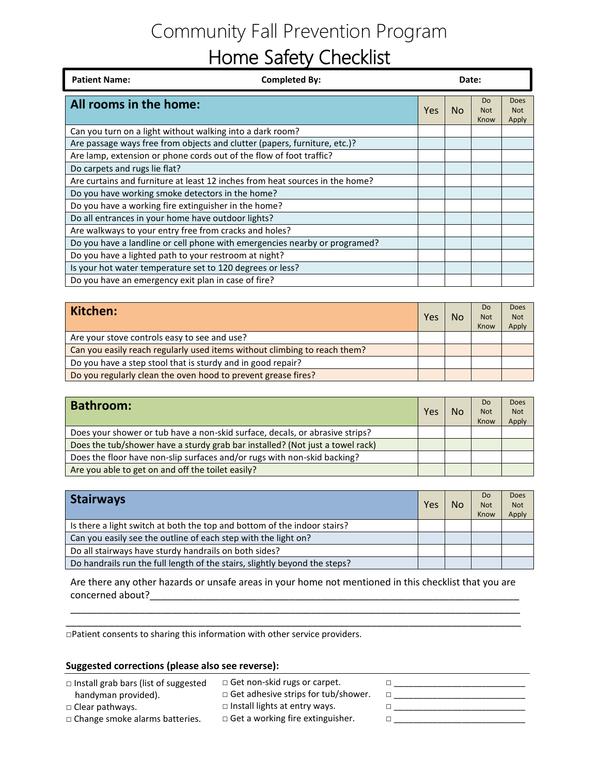## Community Fall Prevention Program Home Safety Checklist

| <b>Patient Name:</b>                                                         | <b>Completed By:</b> | Date: |           |                                      |                             |
|------------------------------------------------------------------------------|----------------------|-------|-----------|--------------------------------------|-----------------------------|
| All rooms in the home:                                                       |                      | Yes   | <b>No</b> | D <sub>o</sub><br><b>Not</b><br>Know | Does<br><b>Not</b><br>Apply |
| Can you turn on a light without walking into a dark room?                    |                      |       |           |                                      |                             |
| Are passage ways free from objects and clutter (papers, furniture, etc.)?    |                      |       |           |                                      |                             |
| Are lamp, extension or phone cords out of the flow of foot traffic?          |                      |       |           |                                      |                             |
| Do carpets and rugs lie flat?                                                |                      |       |           |                                      |                             |
| Are curtains and furniture at least 12 inches from heat sources in the home? |                      |       |           |                                      |                             |
| Do you have working smoke detectors in the home?                             |                      |       |           |                                      |                             |
| Do you have a working fire extinguisher in the home?                         |                      |       |           |                                      |                             |
| Do all entrances in your home have outdoor lights?                           |                      |       |           |                                      |                             |
| Are walkways to your entry free from cracks and holes?                       |                      |       |           |                                      |                             |
| Do you have a landline or cell phone with emergencies nearby or programed?   |                      |       |           |                                      |                             |
| Do you have a lighted path to your restroom at night?                        |                      |       |           |                                      |                             |
| Is your hot water temperature set to 120 degrees or less?                    |                      |       |           |                                      |                             |
| Do you have an emergency exit plan in case of fire?                          |                      |       |           |                                      |                             |

| Kitchen:                                                                  | Yes | No | Do.<br><b>Not</b><br>Know | Does<br><b>Not</b><br>Apply |
|---------------------------------------------------------------------------|-----|----|---------------------------|-----------------------------|
| Are your stove controls easy to see and use?                              |     |    |                           |                             |
| Can you easily reach regularly used items without climbing to reach them? |     |    |                           |                             |
| Do you have a step stool that is sturdy and in good repair?               |     |    |                           |                             |
| Do you regularly clean the oven hood to prevent grease fires?             |     |    |                           |                             |

| <b>Bathroom:</b>                                                              | Yes | No | D <sub>o</sub><br><b>Not</b><br>Know | Does<br><b>Not</b><br>Apply |
|-------------------------------------------------------------------------------|-----|----|--------------------------------------|-----------------------------|
| Does your shower or tub have a non-skid surface, decals, or abrasive strips?  |     |    |                                      |                             |
| Does the tub/shower have a sturdy grab bar installed? (Not just a towel rack) |     |    |                                      |                             |
| Does the floor have non-slip surfaces and/or rugs with non-skid backing?      |     |    |                                      |                             |
| Are you able to get on and off the toilet easily?                             |     |    |                                      |                             |

| <b>Stairways</b>                                                           | Yes | No | Do<br><b>Not</b><br>Know | Does<br><b>Not</b><br>Apply |
|----------------------------------------------------------------------------|-----|----|--------------------------|-----------------------------|
| Is there a light switch at both the top and bottom of the indoor stairs?   |     |    |                          |                             |
| Can you easily see the outline of each step with the light on?             |     |    |                          |                             |
| Do all stairways have sturdy handrails on both sides?                      |     |    |                          |                             |
| Do handrails run the full length of the stairs, slightly beyond the steps? |     |    |                          |                             |

Are there any other hazards or unsafe areas in your home not mentioned in this checklist that you are concerned about? The concerned about  $\sim$ 

\_\_\_\_\_\_\_\_\_\_\_\_\_\_\_\_\_\_\_\_\_\_\_\_\_\_\_\_\_\_\_\_\_\_\_\_\_\_\_\_\_\_\_\_\_\_\_\_\_\_\_\_\_\_\_\_\_\_\_\_\_\_\_\_\_\_\_\_\_\_\_\_\_\_\_\_\_\_\_\_\_\_\_\_\_

□Patient consents to sharing this information with other service providers.

#### **Suggested corrections (please also see reverse):**

- □ Install grab bars (list of suggested handyman provided).
- □ Clear pathways.

□ Get non-skid rugs or carpet.

- □ Get adhesive strips for tub/shower.
- □ Install lights at entry ways.
- □ Get a working fire extinguisher.
- □ \_\_\_\_\_\_\_\_\_\_\_\_\_\_\_\_\_\_\_\_\_\_\_\_\_\_\_ □ \_\_\_\_\_\_\_\_\_\_\_\_\_\_\_\_\_\_\_\_\_\_\_\_\_\_\_ □ \_\_\_\_\_\_\_\_\_\_\_\_\_\_\_\_\_\_\_\_\_\_\_\_\_\_\_ □ \_\_\_\_\_\_\_\_\_\_\_\_\_\_\_\_\_\_\_\_\_\_\_\_\_\_\_

□ Change smoke alarms batteries.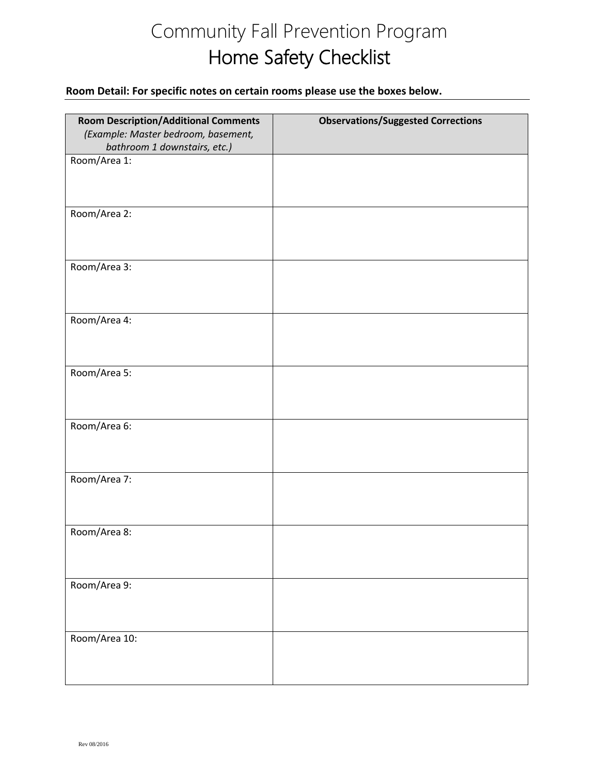# Community Fall Prevention Program Home Safety Checklist

### **Room Detail: For specific notes on certain rooms please use the boxes below.**

| <b>Room Description/Additional Comments</b> | <b>Observations/Suggested Corrections</b> |
|---------------------------------------------|-------------------------------------------|
| (Example: Master bedroom, basement,         |                                           |
| bathroom 1 downstairs, etc.)                |                                           |
| Room/Area 1:                                |                                           |
|                                             |                                           |
|                                             |                                           |
|                                             |                                           |
| Room/Area 2:                                |                                           |
|                                             |                                           |
|                                             |                                           |
| Room/Area 3:                                |                                           |
|                                             |                                           |
|                                             |                                           |
|                                             |                                           |
| Room/Area 4:                                |                                           |
|                                             |                                           |
|                                             |                                           |
| Room/Area 5:                                |                                           |
|                                             |                                           |
|                                             |                                           |
|                                             |                                           |
| Room/Area 6:                                |                                           |
|                                             |                                           |
|                                             |                                           |
|                                             |                                           |
| Room/Area 7:                                |                                           |
|                                             |                                           |
|                                             |                                           |
| Room/Area 8:                                |                                           |
|                                             |                                           |
|                                             |                                           |
|                                             |                                           |
| Room/Area 9:                                |                                           |
|                                             |                                           |
|                                             |                                           |
| Room/Area 10:                               |                                           |
|                                             |                                           |
|                                             |                                           |
|                                             |                                           |